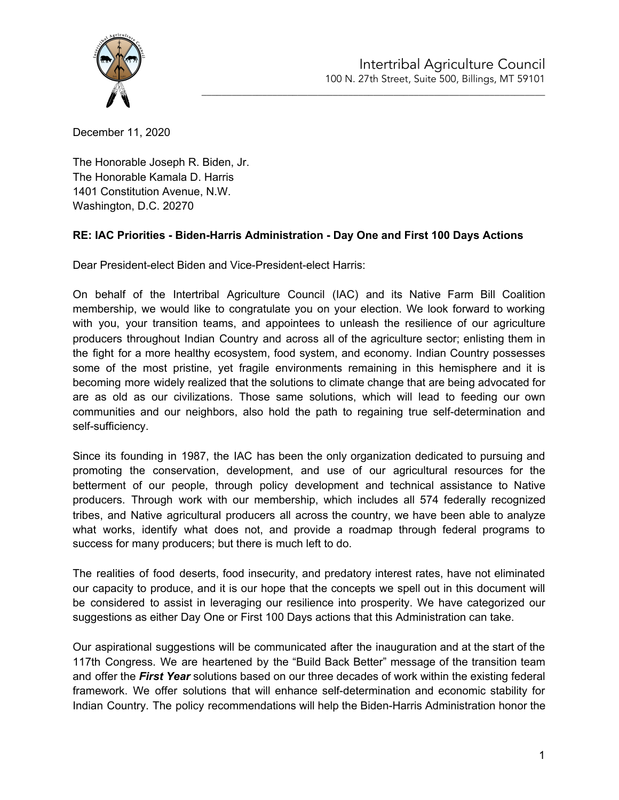

\_\_\_\_\_\_\_\_\_\_\_\_\_\_\_\_\_\_\_\_\_\_\_\_\_\_\_\_\_\_\_\_\_\_\_\_\_\_\_\_\_\_\_\_\_\_\_\_\_\_\_\_\_\_\_\_\_\_\_\_\_\_\_\_\_\_\_\_

December 11, 2020

The Honorable Joseph R. Biden, Jr. The Honorable Kamala D. Harris 1401 Constitution Avenue, N.W. Washington, D.C. 20270

# **RE: IAC Priorities - Biden-Harris Administration - Day One and First 100 Days Actions**

Dear President-elect Biden and Vice-President-elect Harris:

On behalf of the Intertribal Agriculture Council (IAC) and its Native Farm Bill Coalition membership, we would like to congratulate you on your election. We look forward to working with you, your transition teams, and appointees to unleash the resilience of our agriculture producers throughout Indian Country and across all of the agriculture sector; enlisting them in the fight for a more healthy ecosystem, food system, and economy. Indian Country possesses some of the most pristine, yet fragile environments remaining in this hemisphere and it is becoming more widely realized that the solutions to climate change that are being advocated for are as old as our civilizations. Those same solutions, which will lead to feeding our own communities and our neighbors, also hold the path to regaining true self-determination and self-sufficiency.

Since its founding in 1987, the IAC has been the only organization dedicated to pursuing and promoting the conservation, development, and use of our agricultural resources for the betterment of our people, through policy development and technical assistance to Native producers. Through work with our membership, which includes all 574 federally recognized tribes, and Native agricultural producers all across the country, we have been able to analyze what works, identify what does not, and provide a roadmap through federal programs to success for many producers; but there is much left to do.

The realities of food deserts, food insecurity, and predatory interest rates, have not eliminated our capacity to produce, and it is our hope that the concepts we spell out in this document will be considered to assist in leveraging our resilience into prosperity. We have categorized our suggestions as either Day One or First 100 Days actions that this Administration can take.

Our aspirational suggestions will be communicated after the inauguration and at the start of the 117th Congress. We are heartened by the "Build Back Better" message of the transition team and offer the *First Year* solutions based on our three decades of work within the existing federal framework. We offer solutions that will enhance self-determination and economic stability for Indian Country. The policy recommendations will help the Biden-Harris Administration honor the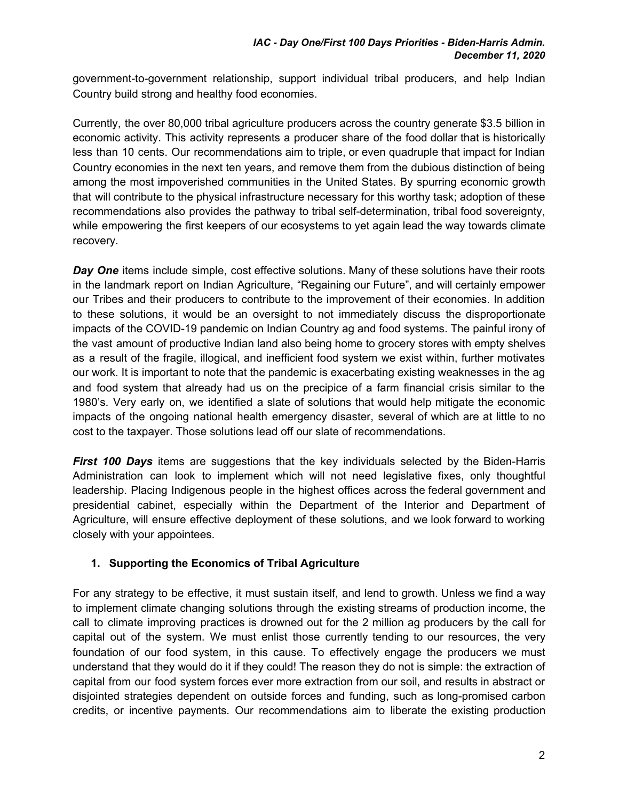government-to-government relationship, support individual tribal producers, and help Indian Country build strong and healthy food economies.

Currently, the over 80,000 tribal agriculture producers across the country generate \$3.5 billion in economic activity. This activity represents a producer share of the food dollar that is historically less than 10 cents. Our recommendations aim to triple, or even quadruple that impact for Indian Country economies in the next ten years, and remove them from the dubious distinction of being among the most impoverished communities in the United States. By spurring economic growth that will contribute to the physical infrastructure necessary for this worthy task; adoption of these recommendations also provides the pathway to tribal self-determination, tribal food sovereignty, while empowering the first keepers of our ecosystems to yet again lead the way towards climate recovery.

*Day* One items include simple, cost effective solutions. Many of these solutions have their roots in the landmark report on Indian Agriculture, "Regaining our Future", and will certainly empower our Tribes and their producers to contribute to the improvement of their economies. In addition to these solutions, it would be an oversight to not immediately discuss the disproportionate impacts of the COVID-19 pandemic on Indian Country ag and food systems. The painful irony of the vast amount of productive Indian land also being home to grocery stores with empty shelves as a result of the fragile, illogical, and inefficient food system we exist within, further motivates our work. It is important to note that the pandemic is exacerbating existing weaknesses in the ag and food system that already had us on the precipice of a farm financial crisis similar to the 1980's. Very early on, we identified a slate of solutions that would help mitigate the economic impacts of the ongoing national health emergency disaster, several of which are at little to no cost to the taxpayer. Those solutions lead off our slate of recommendations.

*First 100 Days* items are suggestions that the key individuals selected by the Biden-Harris Administration can look to implement which will not need legislative fixes, only thoughtful leadership. Placing Indigenous people in the highest offices across the federal government and presidential cabinet, especially within the Department of the Interior and Department of Agriculture, will ensure effective deployment of these solutions, and we look forward to working closely with your appointees.

# **1. Supporting the Economics of Tribal Agriculture**

For any strategy to be effective, it must sustain itself, and lend to growth. Unless we find a way to implement climate changing solutions through the existing streams of production income, the call to climate improving practices is drowned out for the 2 million ag producers by the call for capital out of the system. We must enlist those currently tending to our resources, the very foundation of our food system, in this cause. To effectively engage the producers we must understand that they would do it if they could! The reason they do not is simple: the extraction of capital from our food system forces ever more extraction from our soil, and results in abstract or disjointed strategies dependent on outside forces and funding, such as long-promised carbon credits, or incentive payments. Our recommendations aim to liberate the existing production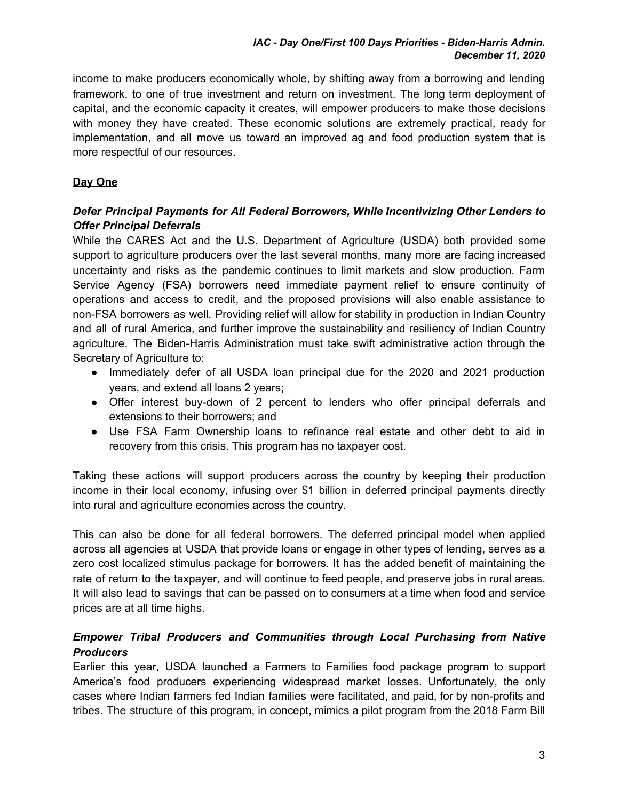income to make producers economically whole, by shifting away from a borrowing and lending framework, to one of true investment and return on investment. The long term deployment of capital, and the economic capacity it creates, will empower producers to make those decisions with money they have created. These economic solutions are extremely practical, ready for implementation, and all move us toward an improved ag and food production system that is more respectful of our resources.

# **Day One**

## *Defer Principal Payments for All Federal Borrowers, While Incentivizing Other Lenders to Offer Principal Deferrals*

While the CARES Act and the U.S. Department of Agriculture (USDA) both provided some support to agriculture producers over the last several months, many more are facing increased uncertainty and risks as the pandemic continues to limit markets and slow production. Farm Service Agency (FSA) borrowers need immediate payment relief to ensure continuity of operations and access to credit, and the proposed provisions will also enable assistance to non-FSA borrowers as well. Providing relief will allow for stability in production in Indian Country and all of rural America, and further improve the sustainability and resiliency of Indian Country agriculture. The Biden-Harris Administration must take swift administrative action through the Secretary of Agriculture to:

- Immediately defer of all USDA loan principal due for the 2020 and 2021 production years, and extend all loans 2 years;
- Offer interest buy-down of 2 percent to lenders who offer principal deferrals and extensions to their borrowers; and
- Use FSA Farm Ownership loans to refinance real estate and other debt to aid in recovery from this crisis. This program has no taxpayer cost.

Taking these actions will support producers across the country by keeping their production income in their local economy, infusing over \$1 billion in deferred principal payments directly into rural and agriculture economies across the country.

This can also be done for all federal borrowers. The deferred principal model when applied across all agencies at USDA that provide loans or engage in other types of lending, serves as a zero cost localized stimulus package for borrowers. It has the added benefit of maintaining the rate of return to the taxpayer, and will continue to feed people, and preserve jobs in rural areas. It will also lead to savings that can be passed on to consumers at a time when food and service prices are at all time highs.

# *Empower Tribal Producers and Communities through Local Purchasing from Native Producers*

Earlier this year, USDA launched a Farmers to Families food package program to support America's food producers experiencing widespread market losses. Unfortunately, the only cases where Indian farmers fed Indian families were facilitated, and paid, for by non-profits and tribes. The structure of this program, in concept, mimics a pilot program from the 2018 Farm Bill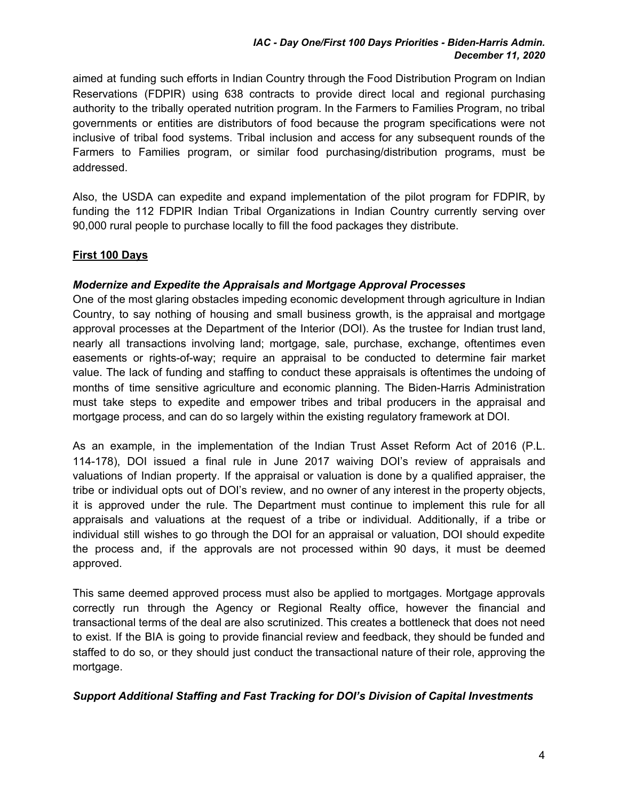aimed at funding such efforts in Indian Country through the Food Distribution Program on Indian Reservations (FDPIR) using 638 contracts to provide direct local and regional purchasing authority to the tribally operated nutrition program. In the Farmers to Families Program, no tribal governments or entities are distributors of food because the program specifications were not inclusive of tribal food systems. Tribal inclusion and access for any subsequent rounds of the Farmers to Families program, or similar food purchasing/distribution programs, must be addressed.

Also, the USDA can expedite and expand implementation of the pilot program for FDPIR, by funding the 112 FDPIR Indian Tribal Organizations in Indian Country currently serving over 90,000 rural people to purchase locally to fill the food packages they distribute.

# **First 100 Days**

## *Modernize and Expedite the Appraisals and Mortgage Approval Processes*

One of the most glaring obstacles impeding economic development through agriculture in Indian Country, to say nothing of housing and small business growth, is the appraisal and mortgage approval processes at the Department of the Interior (DOI). As the trustee for Indian trust land, nearly all transactions involving land; mortgage, sale, purchase, exchange, oftentimes even easements or rights-of-way; require an appraisal to be conducted to determine fair market value. The lack of funding and staffing to conduct these appraisals is oftentimes the undoing of months of time sensitive agriculture and economic planning. The Biden-Harris Administration must take steps to expedite and empower tribes and tribal producers in the appraisal and mortgage process, and can do so largely within the existing regulatory framework at DOI.

As an example, in the implementation of the Indian Trust Asset Reform Act of 2016 (P.L. 114-178), DOI issued a final rule in June 2017 waiving DOI's review of appraisals and valuations of Indian property. If the appraisal or valuation is done by a qualified appraiser, the tribe or individual opts out of DOI's review, and no owner of any interest in the property objects, it is approved under the rule. The Department must continue to implement this rule for all appraisals and valuations at the request of a tribe or individual. Additionally, if a tribe or individual still wishes to go through the DOI for an appraisal or valuation, DOI should expedite the process and, if the approvals are not processed within 90 days, it must be deemed approved.

This same deemed approved process must also be applied to mortgages. Mortgage approvals correctly run through the Agency or Regional Realty office, however the financial and transactional terms of the deal are also scrutinized. This creates a bottleneck that does not need to exist. If the BIA is going to provide financial review and feedback, they should be funded and staffed to do so, or they should just conduct the transactional nature of their role, approving the mortgage.

## *Support Additional Staffing and Fast Tracking for DOI's Division of Capital Investments*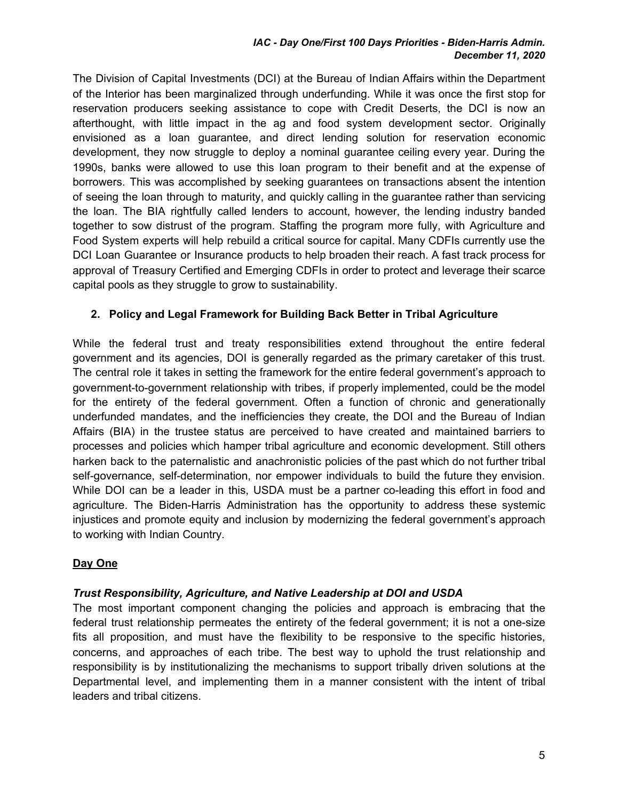#### *IAC - Day One/First 100 Days Priorities - Biden-Harris Admin. December 11, 2020*

The Division of Capital Investments (DCI) at the Bureau of Indian Affairs within the Department of the Interior has been marginalized through underfunding. While it was once the first stop for reservation producers seeking assistance to cope with Credit Deserts, the DCI is now an afterthought, with little impact in the ag and food system development sector. Originally envisioned as a loan guarantee, and direct lending solution for reservation economic development, they now struggle to deploy a nominal guarantee ceiling every year. During the 1990s, banks were allowed to use this loan program to their benefit and at the expense of borrowers. This was accomplished by seeking guarantees on transactions absent the intention of seeing the loan through to maturity, and quickly calling in the guarantee rather than servicing the loan. The BIA rightfully called lenders to account, however, the lending industry banded together to sow distrust of the program. Staffing the program more fully, with Agriculture and Food System experts will help rebuild a critical source for capital. Many CDFIs currently use the DCI Loan Guarantee or Insurance products to help broaden their reach. A fast track process for approval of Treasury Certified and Emerging CDFIs in order to protect and leverage their scarce capital pools as they struggle to grow to sustainability.

# **2. Policy and Legal Framework for Building Back Better in Tribal Agriculture**

While the federal trust and treaty responsibilities extend throughout the entire federal government and its agencies, DOI is generally regarded as the primary caretaker of this trust. The central role it takes in setting the framework for the entire federal government's approach to government-to-government relationship with tribes, if properly implemented, could be the model for the entirety of the federal government. Often a function of chronic and generationally underfunded mandates, and the inefficiencies they create, the DOI and the Bureau of Indian Affairs (BIA) in the trustee status are perceived to have created and maintained barriers to processes and policies which hamper tribal agriculture and economic development. Still others harken back to the paternalistic and anachronistic policies of the past which do not further tribal self-governance, self-determination, nor empower individuals to build the future they envision. While DOI can be a leader in this, USDA must be a partner co-leading this effort in food and agriculture. The Biden-Harris Administration has the opportunity to address these systemic injustices and promote equity and inclusion by modernizing the federal government's approach to working with Indian Country.

## **Day One**

## *Trust Responsibility, Agriculture, and Native Leadership at DOI and USDA*

The most important component changing the policies and approach is embracing that the federal trust relationship permeates the entirety of the federal government; it is not a one-size fits all proposition, and must have the flexibility to be responsive to the specific histories, concerns, and approaches of each tribe. The best way to uphold the trust relationship and responsibility is by institutionalizing the mechanisms to support tribally driven solutions at the Departmental level, and implementing them in a manner consistent with the intent of tribal leaders and tribal citizens.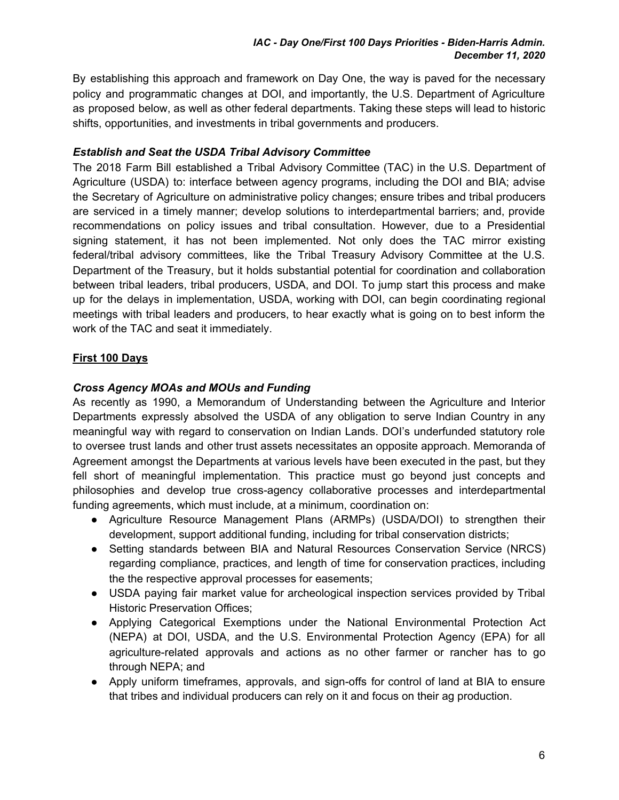By establishing this approach and framework on Day One, the way is paved for the necessary policy and programmatic changes at DOI, and importantly, the U.S. Department of Agriculture as proposed below, as well as other federal departments. Taking these steps will lead to historic shifts, opportunities, and investments in tribal governments and producers.

## *Establish and Seat the USDA Tribal Advisory Committee*

The 2018 Farm Bill established a Tribal Advisory Committee (TAC) in the U.S. Department of Agriculture (USDA) to: interface between agency programs, including the DOI and BIA; advise the Secretary of Agriculture on administrative policy changes; ensure tribes and tribal producers are serviced in a timely manner; develop solutions to interdepartmental barriers; and, provide recommendations on policy issues and tribal consultation. However, due to a Presidential signing statement, it has not been implemented. Not only does the TAC mirror existing federal/tribal advisory committees, like the Tribal Treasury Advisory Committee at the U.S. Department of the Treasury, but it holds substantial potential for coordination and collaboration between tribal leaders, tribal producers, USDA, and DOI. To jump start this process and make up for the delays in implementation, USDA, working with DOI, can begin coordinating regional meetings with tribal leaders and producers, to hear exactly what is going on to best inform the work of the TAC and seat it immediately.

# **First 100 Days**

## *Cross Agency MOAs and MOUs and Funding*

As recently as 1990, a Memorandum of Understanding between the Agriculture and Interior Departments expressly absolved the USDA of any obligation to serve Indian Country in any meaningful way with regard to conservation on Indian Lands. DOI's underfunded statutory role to oversee trust lands and other trust assets necessitates an opposite approach. Memoranda of Agreement amongst the Departments at various levels have been executed in the past, but they fell short of meaningful implementation. This practice must go beyond just concepts and philosophies and develop true cross-agency collaborative processes and interdepartmental funding agreements, which must include, at a minimum, coordination on:

- Agriculture Resource Management Plans (ARMPs) (USDA/DOI) to strengthen their development, support additional funding, including for tribal conservation districts;
- Setting standards between BIA and Natural Resources Conservation Service (NRCS) regarding compliance, practices, and length of time for conservation practices, including the the respective approval processes for easements;
- USDA paying fair market value for archeological inspection services provided by Tribal Historic Preservation Offices;
- Applying Categorical Exemptions under the National Environmental Protection Act (NEPA) at DOI, USDA, and the U.S. Environmental Protection Agency (EPA) for all agriculture-related approvals and actions as no other farmer or rancher has to go through NEPA; and
- Apply uniform timeframes, approvals, and sign-offs for control of land at BIA to ensure that tribes and individual producers can rely on it and focus on their ag production.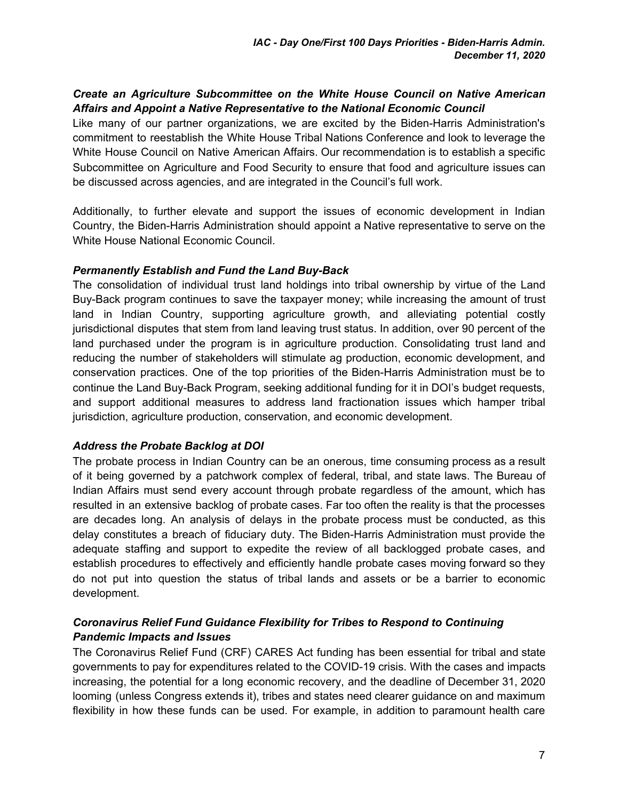#### *Create an Agriculture Subcommittee on the White House Council on Native American Affairs and Appoint a Native Representative to the National Economic Council*

Like many of our partner organizations, we are excited by the Biden-Harris Administration's commitment to reestablish the White House Tribal Nations Conference and look to leverage the White House Council on Native American Affairs. Our recommendation is to establish a specific Subcommittee on Agriculture and Food Security to ensure that food and agriculture issues can be discussed across agencies, and are integrated in the Council's full work.

Additionally, to further elevate and support the issues of economic development in Indian Country, the Biden-Harris Administration should appoint a Native representative to serve on the White House National Economic Council.

#### *Permanently Establish and Fund the Land Buy-Back*

The consolidation of individual trust land holdings into tribal ownership by virtue of the Land Buy-Back program continues to save the taxpayer money; while increasing the amount of trust land in Indian Country, supporting agriculture growth, and alleviating potential costly jurisdictional disputes that stem from land leaving trust status. In addition, over 90 percent of the land purchased under the program is in agriculture production. Consolidating trust land and reducing the number of stakeholders will stimulate ag production, economic development, and conservation practices. One of the top priorities of the Biden-Harris Administration must be to continue the Land Buy-Back Program, seeking additional funding for it in DOI's budget requests, and support additional measures to address land fractionation issues which hamper tribal jurisdiction, agriculture production, conservation, and economic development.

## *Address the Probate Backlog at DOI*

The probate process in Indian Country can be an onerous, time consuming process as a result of it being governed by a patchwork complex of federal, tribal, and state laws. The Bureau of Indian Affairs must send every account through probate regardless of the amount, which has resulted in an extensive backlog of probate cases. Far too often the reality is that the processes are decades long. An analysis of delays in the probate process must be conducted, as this delay constitutes a breach of fiduciary duty. The Biden-Harris Administration must provide the adequate staffing and support to expedite the review of all backlogged probate cases, and establish procedures to effectively and efficiently handle probate cases moving forward so they do not put into question the status of tribal lands and assets or be a barrier to economic development.

## *Coronavirus Relief Fund Guidance Flexibility for Tribes to Respond to Continuing Pandemic Impacts and Issues*

The Coronavirus Relief Fund (CRF) CARES Act funding has been essential for tribal and state governments to pay for expenditures related to the COVID-19 crisis. With the cases and impacts increasing, the potential for a long economic recovery, and the deadline of December 31, 2020 looming (unless Congress extends it), tribes and states need clearer guidance on and maximum flexibility in how these funds can be used. For example, in addition to paramount health care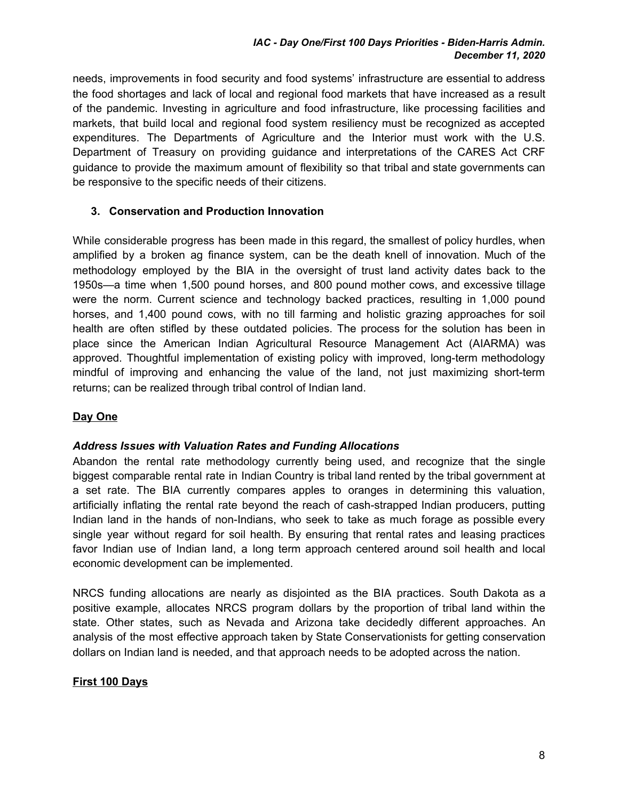#### *IAC - Day One/First 100 Days Priorities - Biden-Harris Admin. December 11, 2020*

needs, improvements in food security and food systems' infrastructure are essential to address the food shortages and lack of local and regional food markets that have increased as a result of the pandemic. Investing in agriculture and food infrastructure, like processing facilities and markets, that build local and regional food system resiliency must be recognized as accepted expenditures. The Departments of Agriculture and the Interior must work with the U.S. Department of Treasury on providing guidance and interpretations of the CARES Act CRF guidance to provide the maximum amount of flexibility so that tribal and state governments can be responsive to the specific needs of their citizens.

## **3. Conservation and Production Innovation**

While considerable progress has been made in this regard, the smallest of policy hurdles, when amplified by a broken ag finance system, can be the death knell of innovation. Much of the methodology employed by the BIA in the oversight of trust land activity dates back to the 1950s—a time when 1,500 pound horses, and 800 pound mother cows, and excessive tillage were the norm. Current science and technology backed practices, resulting in 1,000 pound horses, and 1,400 pound cows, with no till farming and holistic grazing approaches for soil health are often stifled by these outdated policies. The process for the solution has been in place since the American Indian Agricultural Resource Management Act (AIARMA) was approved. Thoughtful implementation of existing policy with improved, long-term methodology mindful of improving and enhancing the value of the land, not just maximizing short-term returns; can be realized through tribal control of Indian land.

#### **Day One**

#### *Address Issues with Valuation Rates and Funding Allocations*

Abandon the rental rate methodology currently being used, and recognize that the single biggest comparable rental rate in Indian Country is tribal land rented by the tribal government at a set rate. The BIA currently compares apples to oranges in determining this valuation, artificially inflating the rental rate beyond the reach of cash-strapped Indian producers, putting Indian land in the hands of non-Indians, who seek to take as much forage as possible every single year without regard for soil health. By ensuring that rental rates and leasing practices favor Indian use of Indian land, a long term approach centered around soil health and local economic development can be implemented.

NRCS funding allocations are nearly as disjointed as the BIA practices. South Dakota as a positive example, allocates NRCS program dollars by the proportion of tribal land within the state. Other states, such as Nevada and Arizona take decidedly different approaches. An analysis of the most effective approach taken by State Conservationists for getting conservation dollars on Indian land is needed, and that approach needs to be adopted across the nation.

## **First 100 Days**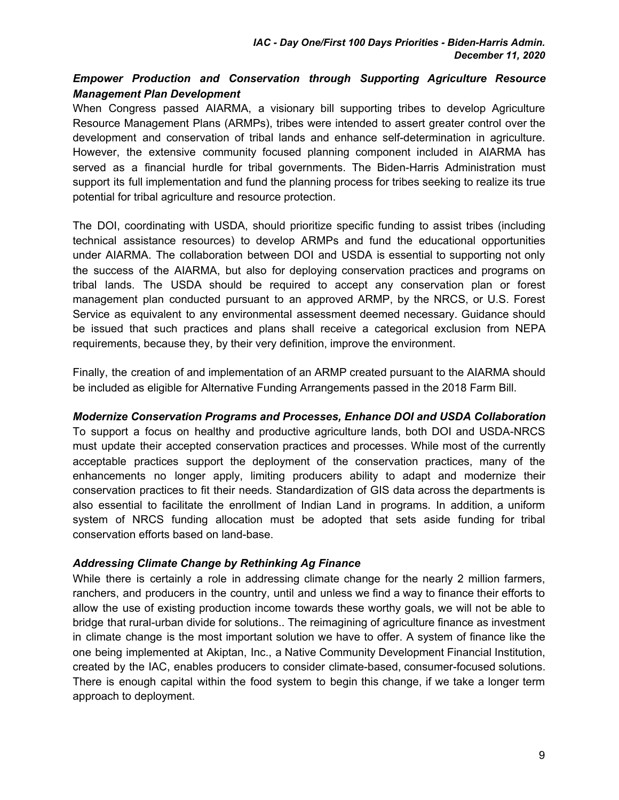# *Empower Production and Conservation through Supporting Agriculture Resource Management Plan Development*

When Congress passed AIARMA, a visionary bill supporting tribes to develop Agriculture Resource Management Plans (ARMPs), tribes were intended to assert greater control over the development and conservation of tribal lands and enhance self-determination in agriculture. However, the extensive community focused planning component included in AIARMA has served as a financial hurdle for tribal governments. The Biden-Harris Administration must support its full implementation and fund the planning process for tribes seeking to realize its true potential for tribal agriculture and resource protection.

The DOI, coordinating with USDA, should prioritize specific funding to assist tribes (including technical assistance resources) to develop ARMPs and fund the educational opportunities under AIARMA. The collaboration between DOI and USDA is essential to supporting not only the success of the AIARMA, but also for deploying conservation practices and programs on tribal lands. The USDA should be required to accept any conservation plan or forest management plan conducted pursuant to an approved ARMP, by the NRCS, or U.S. Forest Service as equivalent to any environmental assessment deemed necessary. Guidance should be issued that such practices and plans shall receive a categorical exclusion from NEPA requirements, because they, by their very definition, improve the environment.

Finally, the creation of and implementation of an ARMP created pursuant to the AIARMA should be included as eligible for Alternative Funding Arrangements passed in the 2018 Farm Bill.

## *Modernize Conservation Programs and Processes, Enhance DOI and USDA Collaboration*

To support a focus on healthy and productive agriculture lands, both DOI and USDA-NRCS must update their accepted conservation practices and processes. While most of the currently acceptable practices support the deployment of the conservation practices, many of the enhancements no longer apply, limiting producers ability to adapt and modernize their conservation practices to fit their needs. Standardization of GIS data across the departments is also essential to facilitate the enrollment of Indian Land in programs. In addition, a uniform system of NRCS funding allocation must be adopted that sets aside funding for tribal conservation efforts based on land-base.

#### *Addressing Climate Change by Rethinking Ag Finance*

While there is certainly a role in addressing climate change for the nearly 2 million farmers, ranchers, and producers in the country, until and unless we find a way to finance their efforts to allow the use of existing production income towards these worthy goals, we will not be able to bridge that rural-urban divide for solutions.. The reimagining of agriculture finance as investment in climate change is the most important solution we have to offer. A system of finance like the one being implemented at Akiptan, Inc., a Native Community Development Financial Institution, created by the IAC, enables producers to consider climate-based, consumer-focused solutions. There is enough capital within the food system to begin this change, if we take a longer term approach to deployment.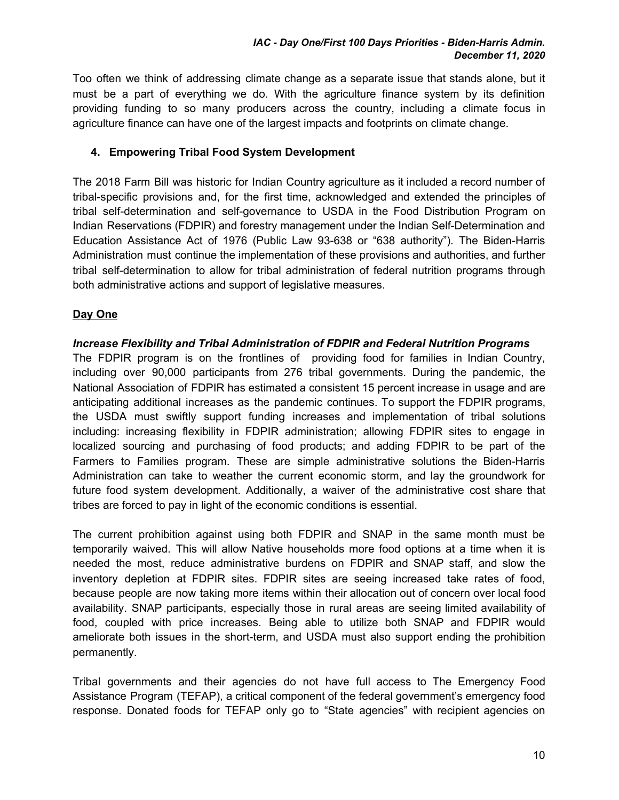Too often we think of addressing climate change as a separate issue that stands alone, but it must be a part of everything we do. With the agriculture finance system by its definition providing funding to so many producers across the country, including a climate focus in agriculture finance can have one of the largest impacts and footprints on climate change.

## **4. Empowering Tribal Food System Development**

The 2018 Farm Bill was historic for Indian Country agriculture as it included a record number of tribal-specific provisions and, for the first time, acknowledged and extended the principles of tribal self-determination and self-governance to USDA in the Food Distribution Program on Indian Reservations (FDPIR) and forestry management under the Indian Self-Determination and Education Assistance Act of 1976 (Public Law 93-638 or "638 authority"). The Biden-Harris Administration must continue the implementation of these provisions and authorities, and further tribal self-determination to allow for tribal administration of federal nutrition programs through both administrative actions and support of legislative measures.

#### **Day One**

#### *Increase Flexibility and Tribal Administration of FDPIR and Federal Nutrition Programs*

The FDPIR program is on the frontlines of providing food for families in Indian Country, including over 90,000 participants from 276 tribal governments. During the pandemic, the National Association of FDPIR has estimated a consistent 15 percent increase in usage and are anticipating additional increases as the pandemic continues. To support the FDPIR programs, the USDA must swiftly support funding increases and implementation of tribal solutions including: increasing flexibility in FDPIR administration; allowing FDPIR sites to engage in localized sourcing and purchasing of food products; and adding FDPIR to be part of the Farmers to Families program. These are simple administrative solutions the Biden-Harris Administration can take to weather the current economic storm, and lay the groundwork for future food system development. Additionally, a waiver of the administrative cost share that tribes are forced to pay in light of the economic conditions is essential.

The current prohibition against using both FDPIR and SNAP in the same month must be temporarily waived. This will allow Native households more food options at a time when it is needed the most, reduce administrative burdens on FDPIR and SNAP staff, and slow the inventory depletion at FDPIR sites. FDPIR sites are seeing increased take rates of food, because people are now taking more items within their allocation out of concern over local food availability. SNAP participants, especially those in rural areas are seeing limited availability of food, coupled with price increases. Being able to utilize both SNAP and FDPIR would ameliorate both issues in the short-term, and USDA must also support ending the prohibition permanently.

Tribal governments and their agencies do not have full access to The Emergency Food Assistance Program (TEFAP), a critical component of the federal government's emergency food response. Donated foods for TEFAP only go to "State agencies" with recipient agencies on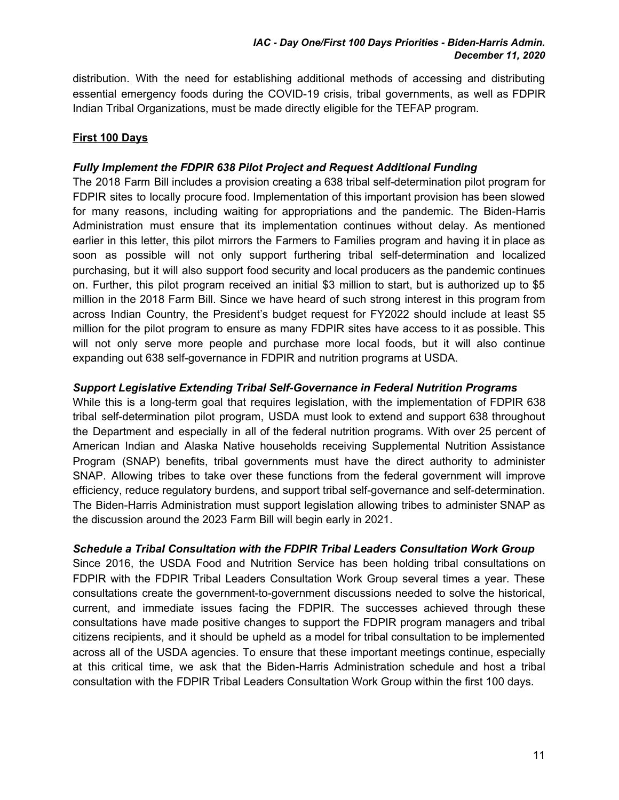distribution. With the need for establishing additional methods of accessing and distributing essential emergency foods during the COVID-19 crisis, tribal governments, as well as FDPIR Indian Tribal Organizations, must be made directly eligible for the TEFAP program.

# **First 100 Days**

## *Fully Implement the FDPIR 638 Pilot Project and Request Additional Funding*

The 2018 Farm Bill includes a provision creating a 638 tribal self-determination pilot program for FDPIR sites to locally procure food. Implementation of this important provision has been slowed for many reasons, including waiting for appropriations and the pandemic. The Biden-Harris Administration must ensure that its implementation continues without delay. As mentioned earlier in this letter, this pilot mirrors the Farmers to Families program and having it in place as soon as possible will not only support furthering tribal self-determination and localized purchasing, but it will also support food security and local producers as the pandemic continues on. Further, this pilot program received an initial \$3 million to start, but is authorized up to \$5 million in the 2018 Farm Bill. Since we have heard of such strong interest in this program from across Indian Country, the President's budget request for FY2022 should include at least \$5 million for the pilot program to ensure as many FDPIR sites have access to it as possible. This will not only serve more people and purchase more local foods, but it will also continue expanding out 638 self-governance in FDPIR and nutrition programs at USDA.

#### *Support Legislative Extending Tribal Self-Governance in Federal Nutrition Programs*

While this is a long-term goal that requires legislation, with the implementation of FDPIR 638 tribal self-determination pilot program, USDA must look to extend and support 638 throughout the Department and especially in all of the federal nutrition programs. With over 25 percent of American Indian and Alaska Native households receiving Supplemental Nutrition Assistance Program (SNAP) benefits, tribal governments must have the direct authority to administer SNAP. Allowing tribes to take over these functions from the federal government will improve efficiency, reduce regulatory burdens, and support tribal self-governance and self-determination. The Biden-Harris Administration must support legislation allowing tribes to administer SNAP as the discussion around the 2023 Farm Bill will begin early in 2021.

## *Schedule a Tribal Consultation with the FDPIR Tribal Leaders Consultation Work Group*

Since 2016, the USDA Food and Nutrition Service has been holding tribal consultations on FDPIR with the FDPIR Tribal Leaders Consultation Work Group several times a year. These consultations create the government-to-government discussions needed to solve the historical, current, and immediate issues facing the FDPIR. The successes achieved through these consultations have made positive changes to support the FDPIR program managers and tribal citizens recipients, and it should be upheld as a model for tribal consultation to be implemented across all of the USDA agencies. To ensure that these important meetings continue, especially at this critical time, we ask that the Biden-Harris Administration schedule and host a tribal consultation with the FDPIR Tribal Leaders Consultation Work Group within the first 100 days.